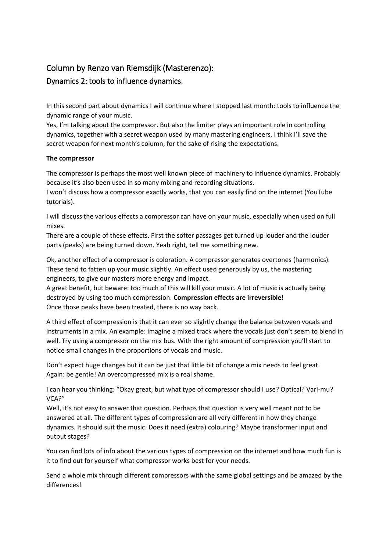## Column by Renzo van Riemsdijk (Masterenzo): Dynamics 2: tools to influence dynamics.

In this second part about dynamics I will continue where I stopped last month: tools to influence the dynamic range of your music.

Yes, I'm talking about the compressor. But also the limiter plays an important role in controlling dynamics, together with a secret weapon used by many mastering engineers. I think I'll save the secret weapon for next month's column, for the sake of rising the expectations.

## **The compressor**

The compressor is perhaps the most well known piece of machinery to influence dynamics. Probably because it's also been used in so many mixing and recording situations.

I won't discuss how a compressor exactly works, that you can easily find on the internet (YouTube tutorials).

I will discuss the various effects a compressor can have on your music, especially when used on full mixes.

There are a couple of these effects. First the softer passages get turned up louder and the louder parts (peaks) are being turned down. Yeah right, tell me something new.

Ok, another effect of a compressor is coloration. A compressor generates overtones (harmonics). These tend to fatten up your music slightly. An effect used generously by us, the mastering engineers, to give our masters more energy and impact.

A great benefit, but beware: too much of this will kill your music. A lot of music is actually being destroyed by using too much compression. **Compression effects are irreversible!** Once those peaks have been treated, there is no way back.

A third effect of compression is that it can ever so slightly change the balance between vocals and instruments in a mix. An example: imagine a mixed track where the vocals just don't seem to blend in well. Try using a compressor on the mix bus. With the right amount of compression you'll start to notice small changes in the proportions of vocals and music.

Don't expect huge changes but it can be just that little bit of change a mix needs to feel great. Again: be gentle! An overcompressed mix is a real shame.

I can hear you thinking: "Okay great, but what type of compressor should I use? Optical? Vari-mu? VCA?"

Well, it's not easy to answer that question. Perhaps that question is very well meant not to be answered at all. The different types of compression are all very different in how they change dynamics. It should suit the music. Does it need (extra) colouring? Maybe transformer input and output stages?

You can find lots of info about the various types of compression on the internet and how much fun is it to find out for yourself what compressor works best for your needs.

Send a whole mix through different compressors with the same global settings and be amazed by the differences!